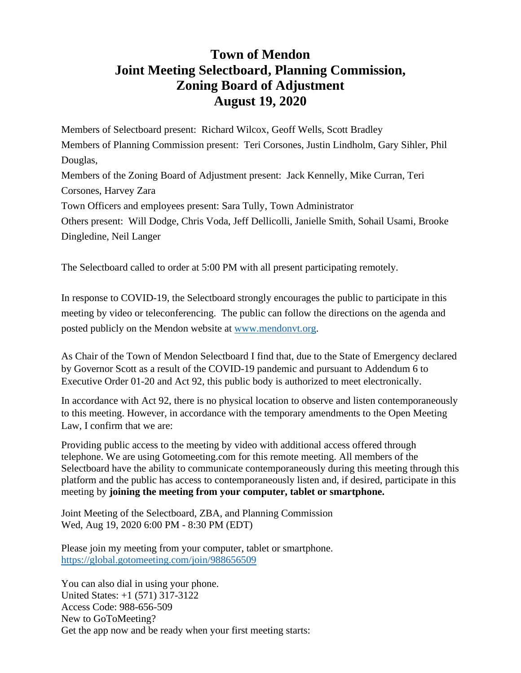## **Town of Mendon Joint Meeting Selectboard, Planning Commission, Zoning Board of Adjustment August 19, 2020**

Members of Selectboard present: Richard Wilcox, Geoff Wells, Scott Bradley Members of Planning Commission present: Teri Corsones, Justin Lindholm, Gary Sihler, Phil Douglas, Members of the Zoning Board of Adjustment present: Jack Kennelly, Mike Curran, Teri Corsones, Harvey Zara Town Officers and employees present: Sara Tully, Town Administrator Others present: Will Dodge, Chris Voda, Jeff Dellicolli, Janielle Smith, Sohail Usami, Brooke Dingledine, Neil Langer

The Selectboard called to order at 5:00 PM with all present participating remotely.

In response to COVID-19, the Selectboard strongly encourages the public to participate in this meeting by video or teleconferencing. The public can follow the directions on the agenda and posted publicly on the Mendon website at [www.mendonvt.org.](http://www.mendonvt.org/)

As Chair of the Town of Mendon Selectboard I find that, due to the State of Emergency declared by Governor Scott as a result of the COVID-19 pandemic and pursuant to Addendum 6 to Executive Order 01-20 and Act 92, this public body is authorized to meet electronically.

In accordance with Act 92, there is no physical location to observe and listen contemporaneously to this meeting. However, in accordance with the temporary amendments to the Open Meeting Law, I confirm that we are:

Providing public access to the meeting by video with additional access offered through telephone. We are using Gotomeeting.com for this remote meeting. All members of the Selectboard have the ability to communicate contemporaneously during this meeting through this platform and the public has access to contemporaneously listen and, if desired, participate in this meeting by **joining the meeting from your computer, tablet or smartphone.** 

Joint Meeting of the Selectboard, ZBA, and Planning Commission Wed, Aug 19, 2020 6:00 PM - 8:30 PM (EDT)

Please join my meeting from your computer, tablet or smartphone. <https://global.gotomeeting.com/join/988656509>

You can also dial in using your phone. United States: +1 (571) 317-3122 Access Code: 988-656-509 New to GoToMeeting? Get the app now and be ready when your first meeting starts: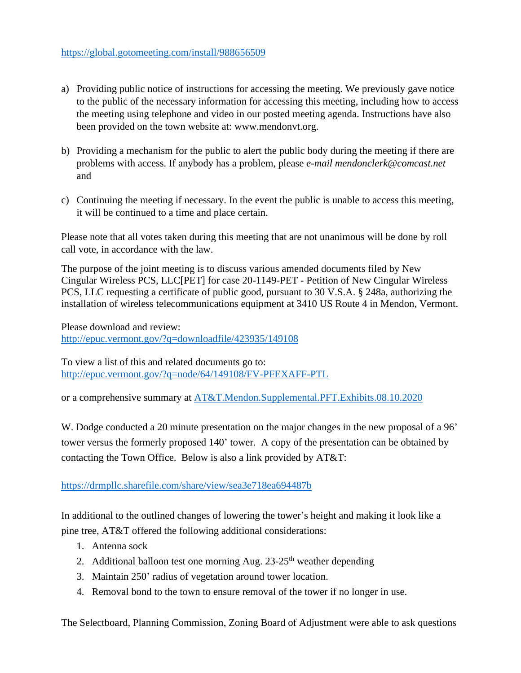- a) Providing public notice of instructions for accessing the meeting. We previously gave notice to the public of the necessary information for accessing this meeting, including how to access the meeting using telephone and video in our posted meeting agenda. Instructions have also been provided on the town website at: www.mendonvt.org.
- b) Providing a mechanism for the public to alert the public body during the meeting if there are problems with access. If anybody has a problem, please *e-mail mendonclerk@comcast.net* and
- c) Continuing the meeting if necessary. In the event the public is unable to access this meeting, it will be continued to a time and place certain.

Please note that all votes taken during this meeting that are not unanimous will be done by roll call vote, in accordance with the law.

The purpose of the joint meeting is to discuss various amended documents filed by New Cingular Wireless PCS, LLC[PET] for case 20-1149-PET - Petition of New Cingular Wireless PCS, LLC requesting a certificate of public good, pursuant to 30 V.S.A. § 248a, authorizing the installation of wireless telecommunications equipment at 3410 US Route 4 in Mendon, Vermont.

Please download and review: <http://epuc.vermont.gov/?q=downloadfile/423935/149108>

To view a list of this and related documents go to: <http://epuc.vermont.gov/?q=node/64/149108/FV-PFEXAFF-PTL>

or a comprehensive summary at [AT&T.Mendon.Supplemental.PFT.Exhibits.08.10.2020](https://drmpllc.sharefile.com/d-s7d23c6d275c4e998)

W. Dodge conducted a 20 minute presentation on the major changes in the new proposal of a 96' tower versus the formerly proposed 140' tower. A copy of the presentation can be obtained by contacting the Town Office. Below is also a link provided by AT&T:

<https://drmpllc.sharefile.com/share/view/sea3e718ea694487b>

In additional to the outlined changes of lowering the tower's height and making it look like a pine tree, AT&T offered the following additional considerations:

- 1. Antenna sock
- 2. Additional balloon test one morning Aug.  $23-25$ <sup>th</sup> weather depending
- 3. Maintain 250' radius of vegetation around tower location.
- 4. Removal bond to the town to ensure removal of the tower if no longer in use.

The Selectboard, Planning Commission, Zoning Board of Adjustment were able to ask questions